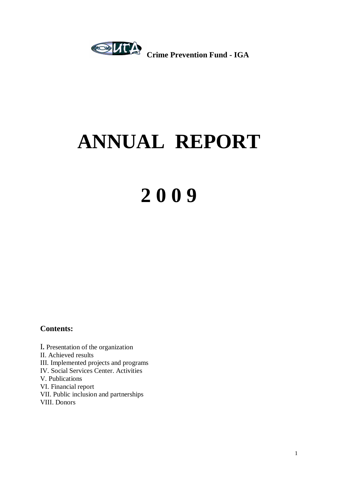

# **ANNUAL REPORT**

# **2 0 0 9**

### **Contents:**

І**.** Presentation of the organization ІІ. Achieved results ІІІ. Implemented projects and programs ІV. Social Services Center. Activities V. Publications VІ. Financial report VІІ. Public inclusion and partnerships VІІІ. Donors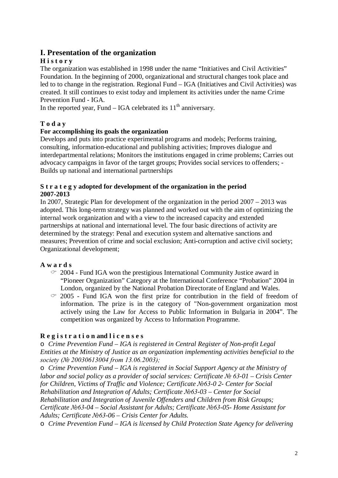### **І. Presentation of the organization**

### **H i s t o r y**

The organization was established in 1998 under the name "Initiatives and Civil Activities" Foundation. In the beginning of 2000, organizational and structural changes took place and led to to change in the registration. Regional Fund – IGA (Initiatives and Civil Activities) was created. It still continues to exist today and implement its activities under the name Crime Prevention Fund - IGA.

In the reported year, Fund  $-$  IGA celebrated its  $11<sup>th</sup>$  anniversary.

### **T o d a y**

### **For accomplishing its goals the organization**

Develops and puts into practice experimental programs and models; Performs training, consulting, information-educational and publishing activities; Improves dialogue and interdepartmental relations; Monitors the institutions engaged in crime problems; Carries out advocacy campaigns in favor of the target groups; Provides social services to offenders; - Builds up national and international partnerships

### **S t r a t e g y adopted for development of the organization in the period 2007-2013**

In 2007, Strategic Plan for development of the organization in the period 2007 – 2013 was adopted. This long-term strategy was planned and worked out with the aim of optimizing the internal work organization and with a view to the increased capacity and extended partnerships at national and international level. The four basic directions of activity are determined by the strategy: Penal and execution system and alternative sanctions and measures; Prevention of crime and social exclusion; Anti-corruption and active civil society; Organizational development;

### **A w a r d s**

- $\degree$  2004 Fund IGA won the prestigious International Community Justice award in "Pioneer Organization" Category at the International Conference "Probation" 2004 in London, organized by the National Probation Directorate of England and Wales.
- $\degree$  2005 Fund IGA won the first prize for contribution in the field of freedom of information. The prize is in the category of "Non-government organization most actively using the Law for Access to Public Information in Bulgaria in 2004". The competition was organized by Access to Information Programme.

### **R e g i s t r a t i o n and l i c e n s e s**

o *Crime Prevention Fund – IGA is registered in Central Register of Non-profit Legal Entities at the Ministry of Justice as an organization implementing activities beneficial to the society (№ 20030613004 from 13.06.2003);*

o *Crime Prevention Fund – IGA is registered in Social Support Agency at the Ministry of labor and social policy as a provider of social services: Certificate № 63-01 – Crisis Center for Children, Victims of Traffic and Violence; Certificate №63-0 2- Center for Social Rehabilitation and Integration of Adults; Certificate №63-03 – Center for Social Rehabilitation and Integration of Juvenile Offenders and Children from Risk Groups; Certificate №63-04 – Social Assistant for Adults; Certificate №63-05- Home Assistant for Adults; Certificate №63-06 – Crisis Center for Adults.*

o *Crime Prevention Fund – IGA is licensed by Child Protection State Agency for delivering*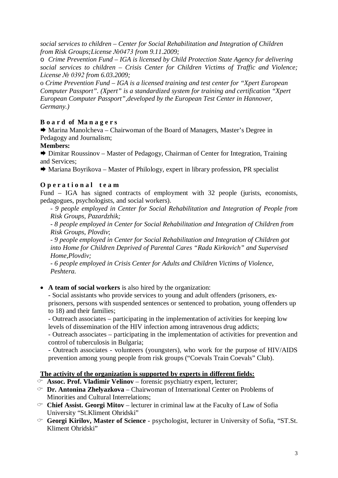*social services to children – Center for Social Rehabilitation and Integration of Children from Risk Groups;License №0473 from 9.11.2009;*

o *Crime Prevention Fund – IGA is licensed by Child Protection State Agency for delivering social services to children – Crisis Center for Children Victims of Traffic and Violence; License № 0392 from 6.03.2009;*

o *Crime Prevention Fund – IGA is a licensed training and test center for "Xpert European Computer Passport". (Xpert" is a standardized system for training and certification "Xpert European Computer Passport",developed by the European Test Center in Hannover, Germany.)*

### **B o a r d of Ma n a g e r s**

 Marina Manolcheva – Chairwoman of the Board of Managers, Master's Degree in Pedagogy and Journalism;

### **Members:**

 Dimitar Roussinov – Master of Pedagogy, Chairman of Center for Integration, Training and Services;

 $\rightarrow$  Mariana Boyrikova – Master of Philology, expert in library profession, PR specialist

### **O p e r a t i o n a l t e a m**

Fund – IGA has signed contracts of employment with 32 people (jurists, economists, pedagogues, psychologists, and social workers).

- *9 people employed in Center for Social Rehabilitation and Integration of People from Risk Groups, Pazardzhik;*

- *8 people employed in Center for Social Rehabilitation and Integration of Children from Risk Groups*, *Plovdiv*;

- *9 people employed in Center for Social Rehabilitation and Integration of Children got into Home for Children Deprived of Parental Cares "Rada Kirkovich" and Supervised Home,Plovdiv;*

- *6 people employed in Crisis Center for Adults and Children Victims of Violence, Peshtera.*

**A team of social workers** is also hired by the organization:

- Social assistants who provide services to young and adult offenders (prisoners, exprisoners, persons with suspended sentences or sentenced to probation, young offenders up to 18) and their families;

- Outreach associates – participating in the implementation of activities for keeping low levels of dissemination of the HIV infection among intravenous drug addicts;

- Outreach associates – participating in the implementation of activities for prevention and control of tuberculosis in Bulgaria;

- Outreach associates - volunteers (youngsters), who work for the purpose of HIV/AIDS prevention among young people from risk groups ("Coevals Train Coevals" Club).

### **The activity of the organization is supported by experts in different fields:**

- **Assoc. Prof. Vladimir Velinov** forensic psychiatry expert, lecturer;
- **Dr. Antonina Zhelyazkova** Chairwoman of International Center on Problems of Minorities and Cultural Interrelations;
- **Chief Assist. Georgi Mitov** lecturer in criminal law at the Faculty of Law of Sofia University "St.Kliment Ohridski"
- **Georgi Kirilov, Master of Science** psychologist, lecturer in University of Sofia, "ST.St. Kliment Ohridski"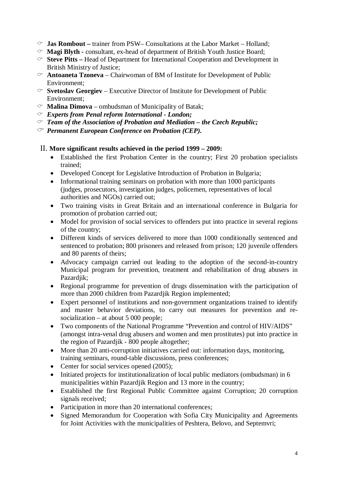- **Jas Rombout** *–* trainer from PSW– Consultations at the Labor Market Holland;
- **Magi Blyth** *-* consultant, ex-head of department of British Youth Justice Board;
- **Steve Pitts** *–* Head of Department for International Cooperation and Development in British Ministry of Justice;
- $\infty$  **Antoaneta Tzoneva** Chairwoman of BM of Institute for Development of Public Environment;
- $\infty$  **Svetoslav Georgiev** Executive Director of Institute for Development of Public Environment;
- $\infty$  **Malina Dimova** ombudsman of Municipality of Batak;
- *Experts from Penal reform International - London;*
- *Team of the Association of Probation and Mediation – the Czech Republic;*
- *Permanent European Conference on Probation (CEP).*

### ІІ. **More significant results achieved in the period 1999 – 2009:**

- Established the first Probation Center in the country; First 20 probation specialists trained;
- Developed Concept for Legislative Introduction of Probation in Bulgaria;
- Informational training seminars on probation with more than 1000 participants (judges, prosecutors, investigation judges, policemen, representatives of local authorities and NGOs) carried out;
- Two training visits in Great Britain and an international conference in Bulgaria for promotion of probation carried out;
- Model for provision of social services to offenders put into practice in several regions of the country;
- Different kinds of services delivered to more than 1000 conditionally sentenced and sentenced to probation; 800 prisoners and released from prison; 120 juvenile offenders and 80 parents of theirs;
- Advocacy campaign carried out leading to the adoption of the second-in-country Municipal program for prevention, treatment and rehabilitation of drug abusers in Pazardjik;
- Regional programme for prevention of drugs dissemination with the participation of more than 2000 children from Pazardjik Region implemented;
- Expert personnel of institutions and non-government organizations trained to identify and master behavior deviations, to carry out measures for prevention and resocialization – at about 5 000 people;
- Two components of the National Programme "Prevention and control of HIV/AIDS" (amongst intra-venal drug abusers and women and men prostitutes) put into practice in the region of Pazardjik - 800 people altogether;
- More than 20 anti-corruption initiatives carried out: information days, monitoring, training seminars, round-table discussions, press conferences;
- Center for social services opened (2005);
- Initiated projects for institutionalization of local public mediators (ombudsman) in 6 municipalities within Pazardjik Region and 13 more in the country;
- Established the first Regional Public Committee against Corruption; 20 corruption signals received;
- Participation in more than 20 international conferences;
- Signed Memorandum for Cooperation with Sofia City Municipality and Agreements for Joint Activities with the municipalities of Peshtera, Belovo, and Septemvri;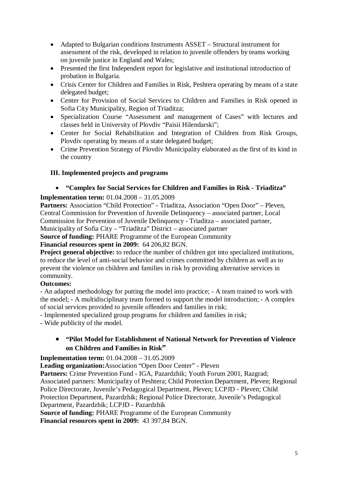- Adapted to Bulgarian conditions Instruments ASSET Structural instrument for assessment of the risk, developed in relation to juvenile offenders by teams working on juvenile justice in England and Wales;
- Presented the first Independent report for legislative and institutional introduction of probation in Bulgaria.
- Crisis Center for Children and Families in Risk, Peshtera operating by means of a state delegated budget;
- Center for Provision of Social Services to Children and Families in Risk opened in Sofia City Municipality, Region of Triaditza;
- Specialization Course "Assessment and management of Cases" with lectures and classes held in University of Plovdiv "Paisii Hilendarski";
- Center for Social Rehabilitation and Integration of Children from Risk Groups, Plovdiv operating by means of a state delegated budget;
- Crime Prevention Strategy of Plovdiv Municipality elaborated as the first of its kind in the country

### **ІІІ. Implemented projects and programs**

### **"Complex for Social Services for Children and Families in Risk - Triaditza"**

### **Implementation term:** 01.04.2008 – 31.05.2009

Partners: Association "Child Protection" - Triaditza, Association "Open Door" – Pleven. Central Commission for Prevention of Juvenile Delinquency – associated partner, Local Commission for Prevention of Juvenile Delinquency - Triaditza – associated partner, Municipality of Sofia City – "Triaditza" District – associated partner

**Source of funding:** PHARE Programme of the European Community

**Financial resources spent in 2009:** 64 206,82 BGN.

**Project general objective:** to reduce the number of children got into specialized institutions, to reduce the level of anti-social behavior and crimes committed by children as well as to prevent the violence on children and families in risk by providing alternative services in community.

### **Outcomes:**

- An adapted methodology for putting the model into practice; - A team trained to work with the model; - A multidisciplinary team formed to support the model introduction; - A complex of social services provided to juvenile offenders and families in risk;

- Implemented specialized group programs for children and families in risk;

- Wide publicity of the model.

### **"Pilot Model for Establishment of National Network for Prevention of Violence on Children and Families in Risk"**

**Implementation term:** 01.04.2008 – 31.05.2009

**Leading organization:**Association "Open Door Center" - Pleven

**Partners:** Crime Prevention Fund - IGA, Pazardzhik; Youth Forum 2001, Razgrad; Associated partners: Municipality of Peshtera; Child Protection Department, Pleven; Regional Police Directorate, Juvenile's Pedagogical Department, Pleven; LCPJD - Pleven; Child Protection Department, Pazardzhik; Regional Police Directorate, Juvenile's Pedagogical Department, Pazardzhik; LCPJD - Pazardzhik

**Source of funding:** PHARE Programme of the European Community **Financial resources spent in 2009:** 43 397,84 BGN.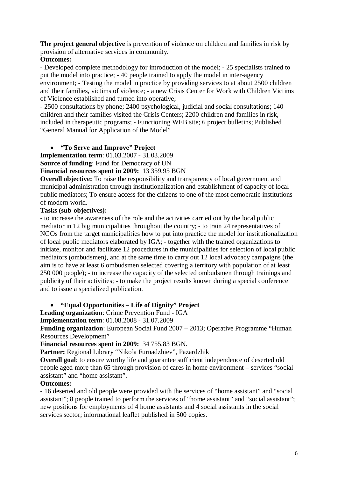**The project general objective** is prevention of violence on children and families in risk by provision of alternative services in community.

### **Outcomes:**

- Developed complete methodology for introduction of the model; - 25 specialists trained to put the model into practice; - 40 people trained to apply the model in inter-agency environment; - Testing the model in practice by providing services to at about 2500 children and their families, victims of violence; - a new Crisis Center for Work with Children Victims of Violence established and turned into operative;

- 2500 consultations by phone; 2400 psychological, judicial and social consultations; 140 children and their families visited the Crisis Centers; 2200 children and families in risk, included in therapeutic programs; - Functioning WEB site; 6 project bulletins; Published "General Manual for Application of the Model"

### **"To Serve and Improve" Project**

**Implementation term**: 01.03.2007 - 31.03.2009 **Source of funding**: Fund for Democracy of UN

**Financial resources spent in 2009:** 13 359,95 BGN

**Overall objective:** To raise the responsibility and transparency of local government and municipal administration through institutionalization and establishment of capacity of local public mediators; To ensure access for the citizens to one of the most democratic institutions of modern world.

### **Tasks (sub-objectives):**

- to increase the awareness of the role and the activities carried out by the local public mediator in 12 big municipalities throughout the country; - to train 24 representatives of NGOs from the target municipalities how to put into practice the model for institutionalization of local public mediators elaborated by IGA; - together with the trained organizations to initiate, monitor and facilitate 12 procedures in the municipalities for selection of local public mediators (ombudsmen), and at the same time to carry out 12 local advocacy campaigns (the aim is to have at least 6 ombudsmen selected covering a territory with population of at least 250 000 people); - to increase the capacity of the selected ombudsmen through trainings and publicity of their activities; - to make the project results known during a special conference and to issue a specialized publication.

### **"Equal Opportunities – Life of Dignity" Project**

**Leading organization**: Crime Prevention Fund - IGA

**Implementation term**: 01.08.2008 - 31.07.2009

**Funding organization**: European Social Fund 2007 – 2013; Operative Programme "Human Resources Development"

**Financial resources spent in 2009:** 34 755,83 BGN.

**Partner:** Regional Library "Nikola Furnadzhiev", Pazardzhik

**Overall goal**: to ensure worthy life and guarantee sufficient independence of deserted old people aged more than 65 through provision of cares in home environment – services "social assistant" and "home assistant".

### **Outcomes:**

- 16 deserted and old people were provided with the services of "home assistant" and "social assistant"; 8 people trained to perform the services of "home assistant" and "social assistant"; new positions for employments of 4 home assistants and 4 social assistants in the social services sector; informational leaflet published in 500 copies.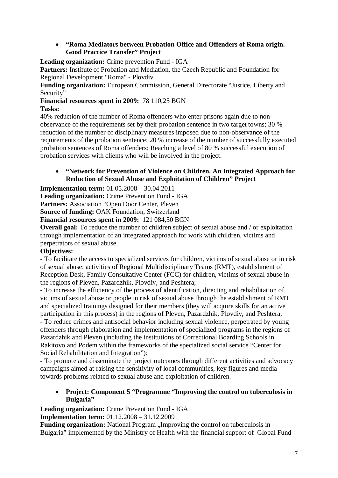### **"Roma Mediators between Probation Office and Offenders of Roma origin. Good Practice Transfer" Project**

**Leading organization:** Crime prevention Fund - IGA

**Partners:** Institute of Probation and Mediation, the Czech Republic and Foundation for Regional Development "Roma" - Plovdiv

**Funding organization:** European Commission, General Directorate "Justice, Liberty and Security"

## **Financial resources spent in 2009:** 78 110,25 BGN

### **Tasks:**

40% reduction of the number of Roma offenders who enter prisons again due to nonobservance of the requirements set by their probation sentence in two target towns; 30 % reduction of the number of disciplinary measures imposed due to non-observance of the requirements of the probation sentence; 20 % increase of the number of successfully executed probation sentences of Roma offenders; Reaching a level of 80 % successful execution of probation services with clients who will be involved in the project.

### **"Network for Prevention of Violence on Children. An Integrated Approach for Reduction of Sexual Abuse and Exploitation of Children" Project**

**Implementation term:** 01.05.2008 – 30.04.2011

**Leading organization:** Crime Prevention Fund - IGA

**Partners:** Association "Open Door Center, Pleven

**Source of funding:** OAK Foundation, Switzerland

**Financial resources spent in 2009:** 121 084,50 BGN

**Overall goal:** To reduce the number of children subject of sexual abuse and / or exploitation through implementation of an integrated approach for work with children, victims and perpetrators of sexual abuse.

### **Objectives:**

- To facilitate the access to specialized services for children, victims of sexual abuse or in risk of sexual abuse: activities of Regional Multidisciplinary Teams (RMT), establishment of Reception Desk, Family Consultative Center (FCC) for children, victims of sexual abuse in the regions of Pleven, Pazardzhik, Plovdiv, and Peshtera;

- To increase the efficiency of the process of identification, directing and rehabilitation of victims of sexual abuse or people in risk of sexual abuse through the establishment of RMT and specialized trainings designed for their members (they will acquire skills for an active participation in this process) in the regions of Pleven, Pazardzhik, Plovdiv, and Peshtera; - To reduce crimes and antisocial behavior including sexual violence, perpetrated by young offenders through elaboration and implementation of specialized programs in the regions of Pazardzhik and Pleven (including the institutions of Correctional Boarding Schools in Rakitovo and Podem within the frameworks of the specialized social service "Center for Social Rehabilitation and Integration");

- To promote and disseminate the project outcomes through different activities and advocacy campaigns aimed at raising the sensitivity of local communities, key figures and media towards problems related to sexual abuse and exploitation of children.

 **Project: Component 5 "Programme "Improving the control on tuberculosis in Bulgaria"**

**Leading organization:** Crime Prevention Fund - IGA

**Implementation term:** 01.12.2008 – 31.12.2009

**Funding organization:** National Program "Improving the control on tuberculosis in Bulgaria" implemented by the Ministry of Health with the financial support of Global Fund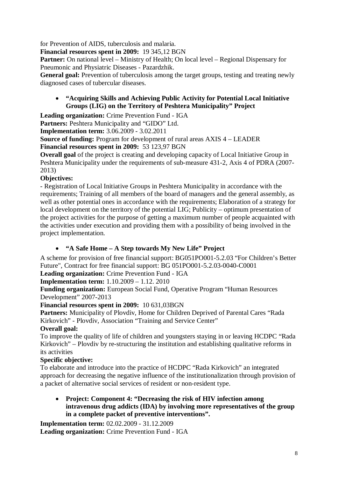for Prevention of AIDS, tuberculosis and malaria.

**Financial resources spent in 2009:** 19 345,12 BGN

**Partner:** On national level – Ministry of Health; On local level – Regional Dispensary for Pneumonic and Physiatric Diseases - Pazardzhik.

**General goal:** Prevention of tuberculosis among the target groups, testing and treating newly diagnosed cases of tubercular diseases.

 **"Acquiring Skills and Achieving Public Activity for Potential Local Initiative Groups (LIG) on the Territory of Peshtera Municipality" Project**

**Leading organization:** Crime Prevention Fund - IGA

**Partners:** Peshtera Municipality and "GIDO" Ltd.

**Implementation term:** 3.06.2009 - 3.02.2011

**Source of funding:** Program for development of rural areas AXIS 4 – LEADER **Financial resources spent in 2009:** 53 123,97 BGN

**Overall goal** of the project is creating and developing capacity of Local Initiative Group in Peshtera Municipality under the requirements of sub-measure 431-2, Axis 4 of PDRA (2007- 2013)

### **Objectives:**

- Registration of Local Initiative Groups in Peshtera Municipality in accordance with the requirements; Training of all members of the board of managers and the general assembly, as well as other potential ones in accordance with the requirements; Elaboration of a strategy for local development on the territory of the potential LIG; Publicity – optimum presentation of the project activities for the purpose of getting a maximum number of people acquainted with the activities under execution and providing them with a possibility of being involved in the project implementation.

### **"A Safe Home – A Step towards My New Life" Project**

A scheme for provision of free financial support: BG051PO001-5.2.03 "For Children's Better Future", Contract for free financial support: BG 051PO001-5.2.03-0040-C0001

### **Leading organization:** Crime Prevention Fund - IGA

**Implementation term:** 1.10.2009 – 1.12. 2010

**Funding organization:** European Social Fund, Operative Program "Human Resources Development" 2007-2013

### **Financial resources spent in 2009:** 10 631,03BGN

**Partners:** Municipality of Plovdiv, Home for Children Deprived of Parental Cares "Rada Kirkovich" - Plovdiv, Association "Training and Service Center"

### **Overall goal:**

To improve the quality of life of children and youngsters staying in or leaving HCDPC "Rada Kirkovich" – Plovdiv by re-structuring the institution and establishing qualitative reforms in its activities

### **Specific objective:**

To elaborate and introduce into the practice of HCDPC "Rada Kirkovich" an integrated approach for decreasing the negative influence of the institutionalization through provision of a packet of alternative social services of resident or non-resident type.

 **Project: Component 4: "Decreasing the risk of HIV infection among intravenous drug addicts (IDA) by involving more representatives of the group in a complete packet of preventive interventions".**

**Implementation term:** 02.02.2009 - 31.12.2009 **Leading organization:** Crime Prevention Fund - IGA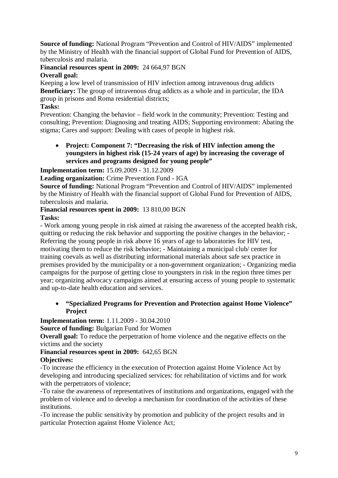**Source of funding:** National Program "Prevention and Control of HIV/AIDS" implemented by the Ministry of Health with the financial support of Global Fund for Prevention of AIDS, tuberculosis and malaria.

### **Financial resources spent in 2009:** 24 664,97 BGN

### **Overall goal:**

Keeping a low level of transmission of HIV infection among intravenous drug addicts **Beneficiary:** The group of intravenous drug addicts as a whole and in particular, the IDA group in prisons and Roma residential districts;

### **Tasks:**

Prevention: Changing the behavior – field work in the community; Prevention: Testing and consulting; Prevention: Diagnosing and treating AIDS; Supporting environment: Abating the stigma; Cares and support: Dealing with cases of people in highest risk.

 **Project: Component 7: "Decreasing the risk of HIV infection among the youngsters in highest risk (15-24 years of age) by increasing the coverage of services and programs designed for young people"**

**Implementation term:** 15.09.2009 - 31.12.2009

### **Leading organization:** Crime Prevention Fund - IGA

**Source of funding:** National Program "Prevention and Control of HIV/AIDS" implemented by the Ministry of Health with the financial support of Global Fund for Prevention of AIDS, tuberculosis and malaria.

### **Financial resources spent in 2009:** 13 810,00 BGN

### **Tasks:**

- Work among young people in risk aimed at raising the awareness of the accepted health risk, quitting or reducing the risk behavior and supporting the positive changes in the behavior; - Referring the young people in risk above 16 years of age to laboratories for HIV test, motivating them to reduce the risk behavior; - Maintaining a municipal club/ center for training coevals as well as distributing informational materials about safe sex practice in premises provided by the municipality or a non-government organization; - Organizing media campaigns for the purpose of getting close to youngsters in risk in the region three times per year; organizing advocacy campaigns aimed at ensuring access of young people to systematic and up-to-date health education and services.

### **"Specialized Programs for Prevention and Protection against Home Violence" Project**

**Implementation term:** 1.11.2009 - 30.04.2010

**Source of funding:** Bulgarian Fund for Women

**Overall goal:** To reduce the perpetration of home violence and the negative effects on the victims and the society

## **Financial resources spent in 2009:** 642,65 BGN

### **Objectives:**

-To increase the efficiency in the execution of Protection against Home Violence Act by developing and introducing specialized services: for rehabilitation of victims and for work with the perpetrators of violence;

-To raise the awareness of representatives of institutions and organizations, engaged with the problem of violence and to develop a mechanism for coordination of the activities of these institutions.

-To increase the public sensitivity by promotion and publicity of the project results and in particular Protection against Home Violence Act;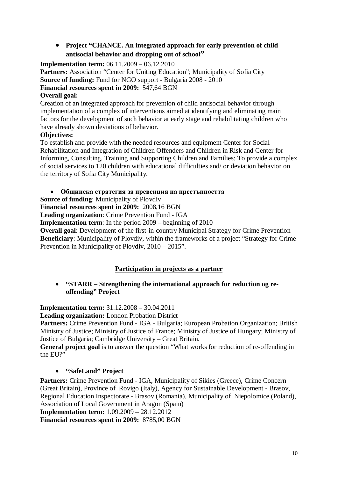### **Project "CHANCE. An integrated approach for early prevention of child antisocial behavior and dropping out of school"**

**Implementation term:** 06.11.2009 – 06.12.2010

**Partners:** Association "Center for Uniting Education"; Municipality of Sofia City **Source of funding:** Fund for NGO support - Bulgaria 2008 - 2010 **Financial resources spent in 2009:** 547,64 BGN

### **Overall goal:**

Creation of an integrated approach for prevention of child antisocial behavior through implementation of a complex of interventions aimed at identifying and eliminating main factors for the development of such behavior at early stage and rehabilitating children who have already shown deviations of behavior.

### **Objectives:**

To establish and provide with the needed resources and equipment Center for Social Rehabilitation and Integration of Children Offenders and Children in Risk and Center for Informing, Consulting, Training and Supporting Children and Families; To provide a complex of social services to 120 children with educational difficulties and/ or deviatiоn behavior on the territory of Sofia City Municipality.

### **Общинска стратегия за превенция на престъпността**

**Source of funding**: Municipality of Plovdiv

**Financial resources spent in 2009:** 2008,16 BGN

**Leading organization**: Crime Prevention Fund - IGA

**Implementation term**: In the period 2009 – beginning of 2010

**Overall goal**: Development of the first-in-country Municipal Strategy for Crime Prevention **Beneficiary**: Municipality of Plovdiv, within the frameworks of a project "Strategy for Crime Prevention in Municipality of Plovdiv, 2010 – 2015".

### **Participation in projects as a partner**

### **"STARR – Strengthening the international approach for reduction og reoffending" Project**

**Implementation term:** 31.12.2008 – 30.04.2011

**Leading organization:** London Probation District

**Partners:** Crime Prevention Fund - IGA - Bulgaria; European Probation Organization; British Ministry of Justice; Ministry of Justice of France; Ministry of Justice of Hungary; Ministry of Justice of Bulgaria; Cambridge University – Great Britain.

**General project goal** is to answer the question "What works for reduction of re-offending in the EU?"

### **"SafeLand" Project**

**Partners:** Crime Prevention Fund - IGA, Municipality of Sikies (Greece), Crime Concern (Great Britain), Province of Rovigo (Italy), Agency for Sustainable Development - Brasov, Regional Education Inspectorate - Brasov (Romania), Municipality of Niepolomice (Poland), Association of Local Government in Aragon (Spain)

**Implementation term:** 1.09.2009 – 28.12.2012

**Financial resources spent in 2009:** 8785,00 BGN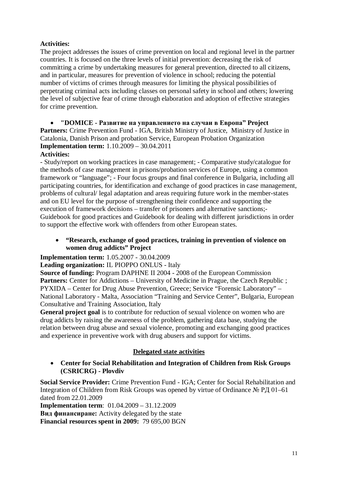### **Activities:**

The project addresses the issues of crime prevention on local and regional level in the partner countries. It is focused on the three levels of initial prevention: decreasing the risk of committing a crime by undertaking measures for general prevention, directed to all citizens, and in particular, measures for prevention of violence in school; reducing the potential number of victims of crimes through measures for limiting the physical possibilities of perpetrating criminal acts including classes on personal safety in school and others; lowering the level of subjective fear of crime through elaboration and adoption of effective strategies for crime prevention.

 **"DOMICE - Развитие на управлението на случаи в Европа" Project Partners:** Crime Prevention Fund - IGA, British Ministry of Justice, Ministry of Justice in Catalonia, Danish Prison and probation Service, European Probation Organization **Implementation term:** 1.10.2009 – 30.04.2011 **Activities:**

- Study/report on working practices in case management; - Comparative study/catalogue for the methods of case management in prisons/probation services of Europe, using a common framework or "language"; - Four focus groups and final conference in Bulgaria, including all participating countries, for identification and exchange of good practices in case management, problems of cultural/ legal adaptation and areas requiring future work in the member-states and on EU level for the purpose of strengthening their confidence and supporting the execution of framework decisions – transfer of prisoners and alternative sanctions;- Guidebook for good practices and Guidebook for dealing with different jurisdictions in order to support the effective work with offenders from other European states.

### **"Research, exchange of good practices, training in prevention of violence on women drug addicts" Project**

**Implementation term:** 1.05.2007 - 30.04.2009

**Leading organization:** IL PIOPPO ONLUS - Italy

**Source of funding:** Program DAPHNE II 2004 - 2008 of the European Commission **Partners:** Center for Addictions – University of Medicine in Prague, the Czech Republic ; PYXIDA – Center for Drug Abuse Prevention, Greece; Service "Forensic Laboratory" – National Laboratory - Malta, Association "Training and Service Center", Bulgaria, European Consultative and Training Association, Italy

**General project goal** is to contribute for reduction of sexual violence on women who are drug addicts by raising the awareness of the problem, gathering data base, studying the relation between drug abuse and sexual violence, promoting and exchanging good practices and experience in preventive work with drug abusers and support for victims.

### **Delegated state activities**

 **Center for Social Rehabilitation and Integration of Children from Risk Groups (CSRICRG) - Plovdiv**

**Social Service Provider:** Crime Prevention Fund - IGA; Center for Social Rehabilitation and Integration of Children from Risk Groups was opened by virtue of Ordinance № РД 01–61 dated from 22.01.2009

**Implementation term**: 01.04.2009 – 31.12.2009 **Вид финансиране:** Activity delegated by the state **Financial resources spent in 2009:** 79 695,00 BGN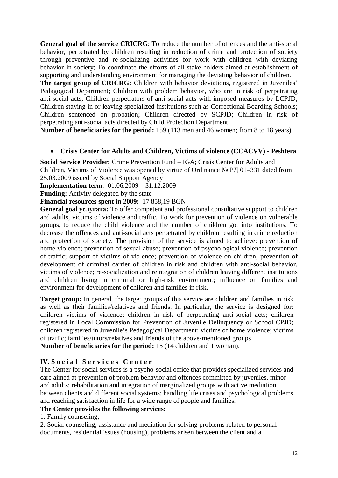**General goal of the service CRICRG**: To reduce the number of offences and the anti-social behavior, perpetrated by children resulting in reduction of crime and protection of society through preventive and re-socializing activities for work with children with deviating behavior in society; To coordinate the efforts of all stake-holders aimed at establishment of supporting and understanding environment for managing the deviating behavior of children.

**The target group of CRICRG:** Children with behavior deviations, registered in Juveniles' Pedagogical Department; Children with problem behavior, who are in risk of perpetrating anti-social acts; Children perpetrators of anti-social acts with imposed measures by LCPJD; Children staying in or leaving specialized institutions such as Correctional Boarding Schools; Children sentenced on probation; Children directed by SCPJD; Children in risk of perpetrating anti-social acts directed by Child Protection Department.

**Number of beneficiaries for the period:** 159 (113 men and 46 women; from 8 to 18 years).

### **Crisis Center for Adults and Children, Victims of violence (CCACVV) - Peshtera**

**Social Service Provider:** Crime Prevention Fund – IGA; Crisis Center for Adults and Children, Victims of Violence was opened by virtue of Ordinance № РД 01–331 dated from 25.03.2009 issued by Social Support Agency

**Implementation term**: 01.06.2009 – 31.12.2009

**Funding:** Activity delegated by the state

**Financial resources spent in 2009:** 17 858,19 BGN

**General goal услугата:** To offer competent and professional consultative support to children and adults, victims of violence and traffic. To work for prevention of violence on vulnerable groups, to reduce the child violence and the number of children got into institutions. To decrease the offences and anti-social acts perpetrated by children resulting in crime reduction and protection of society. The provision of the service is aimed to achieve: prevention of home violence; prevention of sexual abuse; prevention of psychological violence; prevention of traffic; support of victims of violence; prevention of violence on children; prevention of development of criminal carrier of children in risk and children with anti-social behavior, victims of violence; re-socialization and reintegration of children leaving different institutions and children living in criminal or high-risk environment; influence on families and environment for development of children and families in risk.

**Target group:** In general, the target groups of this service are children and families in risk as well as their families/relatives and friends. In particular, the service is designed for: children victims of violence; children in risk of perpetrating anti-social acts; children registered in Local Commission for Prevention of Juvenile Delinquency or School CPJD; children registered in Juvenile's Pedagogical Department; victims of home violence; victims of traffic; families/tutors/relatives and friends of the above-mentioned groups **Number of beneficiaries for the period:** 15 (14 children and 1 woman).

### **ІV. S o c i a l S e r v i c e s C e n t e r**

The Center for social services is a psycho-social office that provides specialized services and care aimed at prevention of problem behavior and offences committed by juveniles, minor and adults; rehabilitation and integration of marginalized groups with active mediation between clients and different social systems; handling life crises and psychological problems and reaching satisfaction in life for a wide range of people and families.

### **The Center provides the following services:**

1. Family counseling;

2. Social counseling, assistance and mediation for solving problems related to personal documents, residential issues (housing), problems arisen between the client and a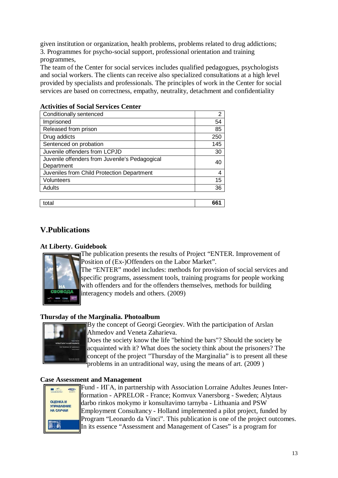given institution or organization, health problems, problems related to drug addictions; 3. Programmes for psycho-social support, professional orientation and training programmes,

The team of the Center for social services includes qualified pedagogues, psychologists and social workers. The clients can receive also specialized consultations at a high level provided by specialists and professionals. The principles of work in the Center for social services are based on correctness, empathy, neutrality, detachment and confidentiality

| Conditionally sentenced                                      | 2   |
|--------------------------------------------------------------|-----|
| Imprisoned                                                   | 54  |
| Released from prison                                         | 85  |
| Drug addicts                                                 | 250 |
| Sentenced on probation                                       | 145 |
| Juvenile offenders from LCPJD                                | 30  |
| Juvenile offenders from Juvenile's Pedagogical<br>Department | 40  |
| Juveniles from Child Protection Department                   | 4   |
| Volunteers                                                   | 15  |
| Adults                                                       | 36  |
|                                                              |     |

total **661**

### **Activities of Social Services Center**

### **V.Publications**

### **At Liberty. Guidebook**



The publication presents the results of Project "ENTER. Improvement of Position of (Ex-)Offenders on the Labor Market".

The "ENTER" model includes: methods for provision of social services and specific programs, assessment tools, training programs for people working with offenders and for the offenders themselves, methods for building interagency models and others. (2009)

### **Thursday of the Marginalia. Photoalbum**



By the concept of Georgi Georgiev. With the participation of Arslan Ahmedov and Veneta Zaharieva.

Does the society know the life "behind the bars"? Should the society be acquainted with it? What does the society think about the prisoners? The concept of the project "Thursday of the Marginalia" is to present all these problems in an untraditional way, using the means of art. (2009)

### **Case Assessment and Management**

| Leonardo da Vinci                                 | 34t Z |
|---------------------------------------------------|-------|
| <b>ОЦЕНКА И</b><br><b>УПРАВАЕНИЕ</b><br>НА СЛУЧАИ |       |
|                                                   |       |

Fund - ИГА, in partnership with Association Lorraine Adultes Jeunes Interformation - APRELOR - France; Komvux Vanersborg - Sweden; Alytaus darbo rinkos mokymo ir konsultavimo tarnyba - Lithuania and PSW Employment Consultancy - Holland implemented a pilot project, funded by Program "Leonardo da Vinci". This publication is one of the project outcomes. In its essence "Assessment and Management of Cases" is a program for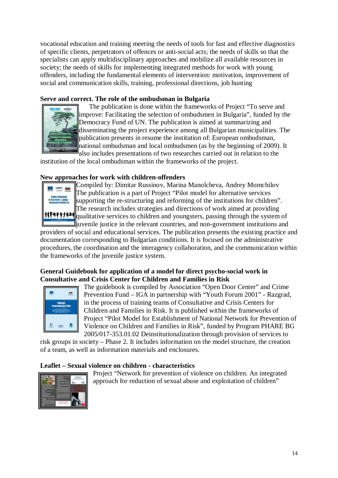vocational education and training meeting the needs of tools for fast and effective diagnostics of specific clients, perpetrators of offences or anti-social acts; the needs of skills so that the specialists can apply multidisciplinary approaches and mobilize all available resources in society; the needs of skills for implementing integrated methods for work with young offenders, including the fundamental elements of intervention: motivation, improvement of social and communication skills, training, professional directions, job hunting

### **Serve and correct. The role of the ombudsman in Bulgaria**



The publication is done within the frameworks of Project "To serve and improve: Facilitating the selection of ombudsmen in Bulgaria", funded by the Democracy Fund of UN. The publication is aimed at summarizing and disseminating the project experience among all Bulgarian municipalities. The publication presents in resume the institution of: European ombudsman, national ombudsman and local ombudsmen (as by the beginning of 2009). It also includes presentations of two researches carried out in relation to the

institution of the local ombudsman within the frameworks of the project.

### **New approaches for work with children-offenders**



Compiled by: Dimitar Russinov, Marina Manolcheva, Andrey Momchilov The publication is a part of Project "Pilot model for alternative services supporting the re-structuring and reforming of the institutions for children". The research includes strategies and directions of work aimed at providing qualitative services to children and youngsters, passing through the system of  $\mathbb{J}_i$  iuvenile justice in the relevant countries, and non-government institutions and

providers of social and educational services. The publication presents the existing practice and documentation corresponding to Bulgarian conditions. It is focused on the administrative procedures, the coordination and the interagency collaboration, and the communication within the frameworks of the juvenile justice system.

### **General Guidebook for application of a model for direct psycho-social work in Consultative and Crisis Center for Children and Families in Risk**



The guidebook is compiled by Association "Open Door Center" and Crime Prevention Fund – IGA in partnership with "Youth Forum 2001" - Razgrad, in the process of training teams of Consultative and Crisis Centers for Children and Families in Risk. It is published within the frameworks of Project "Pilot Model for Establishment of National Network for Prevention of Violence on Children and Families in Risk", funded by Program PHARE BG 2005/017-353.01.02 Deinstitutionalization through provision of services to

risk groups in society – Phase 2. It includes information on the model structure, the creation of a team, as well as information materials and enclosures.

### **Leaflet – Sexual violence on children - characteristics**



Project "Network for prevention of violence on children. An integrated approach for reduction of sexual abuse and exploitation of children"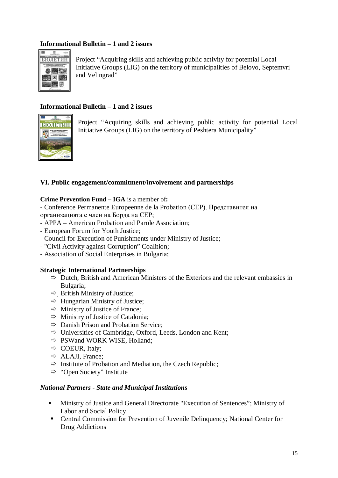### **Informational Bulletin – 1 and 2 issues**



Project "Acquiring skills and achieving public activity for potential Local Initiative Groups (LIG) on the territory of municipalities of Belovo, Septemvri and Velingrad"

### **Informational Bulletin – 1 and 2 issues**



Project "Acquiring skills and achieving public activity for potential Local Initiative Groups (LIG) on the territory of Peshtera Municipality"

### **VІ. Public engagement/commitment/involvement and partnerships**

### **Crime Prevention Fund – IGA** is a member of**:**

- Conference Permanente Europeenne de la Probation (CEP). Представител на организацията е член на Борда на CEP;

- APPA American Probation and Parole Association;
- European Forum for Youth Justice;
- Council for Execution of Punishments under Ministry of Justice;
- "Civil Activity against Corruption" Coalition;
- Association of Social Enterprises in Bulgaria;

### **Strategic International Partnerships**

- $\Rightarrow$  Dutch, British and American Ministers of the Exteriors and the relevant embassies in Bulgaria;
- $\Rightarrow$  British Ministry of Justice;
- $\Rightarrow$  Hungarian Ministry of Justice;
- $\Rightarrow$  Ministry of Justice of France;
- $\Rightarrow$  Ministry of Justice of Catalonia;
- $\Rightarrow$  Danish Prison and Probation Service:
- $\Rightarrow$  Universities of Cambridge, Oxford, Leeds, London and Kent;
- $\Rightarrow$  PSWand WORK WISE, Holland;
- $\Rightarrow$  COEUR, Italy;
- $\Rightarrow$  ALAJI, France;
- $\Rightarrow$  Institute of Probation and Mediation, the Czech Republic;
- $\Rightarrow$  "Open Society" Institute

#### *National Partners - State and Municipal Institutions*

- Ministry of Justice and General Directorate "Execution of Sentences"; Ministry of Labor and Social Policy
- Central Commission for Prevention of Juvenile Delinquency; National Center for Drug Addictions